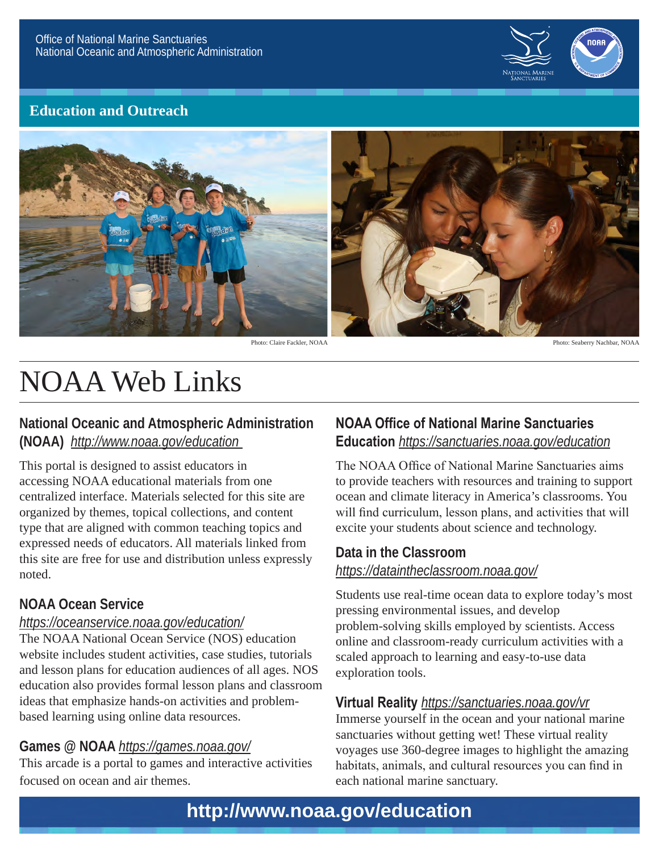

# **Education and Outreach**



Photo: Claire Fackler, NOAA Photo: Seaberry Nachbar, NOAA

# NOAA Web Links

#### **National Oceanic and Atmospheric Administration (NOAA)** *http://www.noaa.gov/education*

This portal is designed to assist educators in accessing NOAA educational materials from one centralized interface. Materials selected for this site are organized by themes, topical collections, and content type that are aligned with common teaching topics and expressed needs of educators. All materials linked from this site are free for use and distribution unless expressly noted.

#### **NOAA Ocean Service**

#### *https://oceanservice.noaa.gov/education/*

The NOAA National Ocean Service (NOS) education website includes student activities, case studies, tutorials and lesson plans for education audiences of all ages. NOS education also provides formal lesson plans and classroom ideas that emphasize hands-on activities and problembased learning using online data resources.

#### **Games @ NOAA** *https://games.noaa.gov/*

This arcade is a portal to games and interactive activities focused on ocean and air themes.

# **NOAA Office of National Marine Sanctuaries Education** *https://sanctuaries.noaa.gov/education*

The NOAA Office of National Marine Sanctuaries aims to provide teachers with resources and training to support ocean and climate literacy in America's classrooms. You will find curriculum, lesson plans, and activities that will excite your students about science and technology.

## **Data in the Classroom** *https://dataintheclassroom.noaa.gov/*

Students use real-time ocean data to explore today's most pressing environmental issues, and develop problem-solving skills employed by scientists. Access online and classroom-ready curriculum activities with a scaled approach to learning and easy-to-use data exploration tools.

#### **Virtual Reality** *https://sanctuaries.noaa.gov/vr*

Immerse yourself in the ocean and your national marine sanctuaries without getting wet! These virtual reality voyages use 360-degree images to highlight the amazing habitats, animals, and cultural resources you can find in each national marine sanctuary.

# **http://www.noaa.gov/education**